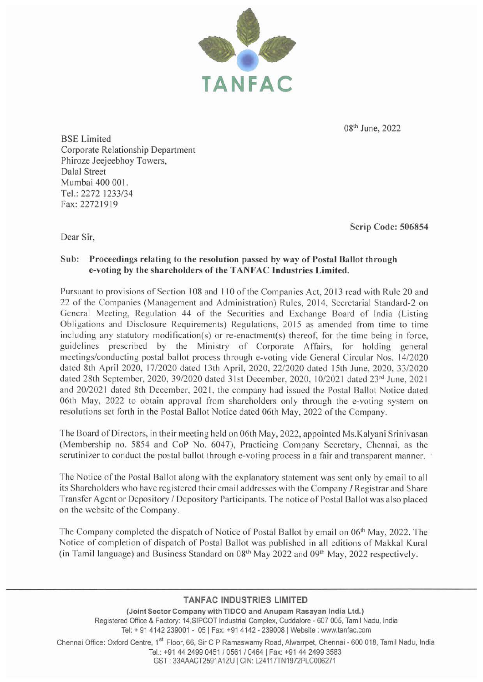

08<sup>th</sup> June, 2022

BSE Limited Corporate Relationship Department Phiroze Jeejeebhoy Towers, Dalal Street Mumbai 400 001. Tel.: 2272 1233/34 Fax:22721919

Scrip Code: 506854

Dear Sir,

### Sub: Proceedings relating to the resolution passed by way of Postal Ballot through e-voting by the shareholders of the TANFAC Industries Limited.

Pursuant to provisions of Section 108 and 110 of the Companies Act, 2013 read with Rule 20 and 22 of the Companies (Management and Administration) Rules, 2014, Secretarial Standard-2 on General Meeting, Regulation 44 of the Securities and Exchange Board of India (Listing Obligations and Disclosure Requirements) Regulations, 2015 as amended from time to time including any statutory modification(s) or re-enactment(s) thereof, for the time being in force, guidelines prescribed by the Ministry of Corporate Affairs, for holding general meetings/conducting postal ballot process through e-voting vide General Circular Nos. 14/2020 dated 8th April 2020, 17/2020 dated 13th April, 2020, 22/2020 dated 15th June, 2020, 33/2020 dated 28th September, 2020, 39/2020 dated 31st December, 2020, 10/2021 dated 23<sup>rd</sup> June, 2021 and 20/2021 dated 8th December, 2021, the company had issued the Postal Ballot Notice dated 06th May, 2022 to obtain approval from shareholders only through the e-voting system on resolutions set forth in the Postal Ballot Notice dated 06th May, 2022 of the Company.

The Board of Directors, in their meeting held on 06th May, 2022, appointed Ms.Kalyani Srinivasan (Membership no. 5854 and CoP No. 6047), Practicing Company Secretary, Chennai, as the scrutinizer to conduct the postal ballot through e-voting process in a fair and transparent manner.

The Notice of the Postal Ballot along with the explanatory statement was sent only by email to all its Shareholders who have registered their email addresses with the Company I Registrar and Share Transfer Agent or Depository / Depository Participants. The notice of Postal Ballot was also placed on the website of the Company.

The Company completed the dispatch of Notice of Postal Ballot by email on 06<sup>th</sup> May, 2022. The Notice of completion of dispatch of Postal Ballot was published in all editions of Makkal Kural (in Tamil language) and Business Standard on 08<sup>th</sup> May 2022 and 09<sup>th</sup> May, 2022 respectively.

#### **TANFAC INDUSTRIES LIMITED**

(Joint Sector Company with TIDCO and Anupam Rasayan India Ltd.) Registered Office & Factory: 14,SIPCOT Industrial Complex, Cuddalore - 607 005, Tamil Nadu, India Tel:+ 91 4142 239001 - 05 I Fax: +91 4142 - 2390081 Website: www.tanfac.com

Chennai Office: Oxford Centre, 1<sup>st</sup> Floor, 66, Sir C P Ramaswamy Road, Alwarrpet, Chennai - 600 018, Tamil Nadu, India Tel.: +91 44 2499 0451 / 0561 / 0464 | Fax: +91 44 2499 3583 GST: 33AAACT2591A1ZU | CIN: L24117TN1972PLC006271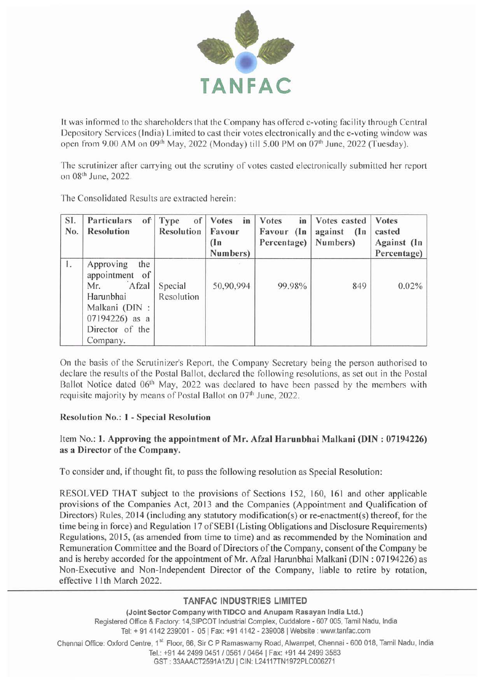

It was informed to the shareholders that the Company has offered e-voting fac ility through Central Depository Services (India) Limited to cast their votes electronically and the e-voting window was open from 9.00 AM on 09<sup>th</sup> May, 2022 (Monday) till 5.00 PM on 07<sup>th</sup> June, 2022 (Tuesday).

The scrutinizer after carrying out the scrutiny of votes casted electronically submitted her report on 08<sup>th</sup> June, 2022.

| SI.<br>No. | Particulars<br><b>Resolution</b>                                                                                                  | of Type<br>of<br>Resolution | <b>Votes</b><br>in<br>Favour<br>(1n)<br>Numbers) | <b>Votes</b><br>in<br>Favour (In<br>Percentage) | Votes casted<br>against (In<br>Numbers) | <b>Votes</b><br>casted<br>Against (In<br>Percentage) |
|------------|-----------------------------------------------------------------------------------------------------------------------------------|-----------------------------|--------------------------------------------------|-------------------------------------------------|-----------------------------------------|------------------------------------------------------|
| $\pm$      | Approving<br>the<br>appointment of<br>Afzal<br>Mr.<br>Harunbhai<br>Malkani (DIN:<br>07194226) as a<br>Director of the<br>Company. | Special<br>Resolution       | 50,90,994                                        | 99.98%                                          | 849                                     | 0.02%                                                |

The Consolidated Results are extracted herein:

On the basis of the Scrutinizer's Report, the Company Secretary being the person authorised to declare the results of the Postal Ballot, declared the following resolutions, as set out in the Postal Ballot Notice dated 06<sup>th</sup> May, 2022 was declared to have been passed by the members with requisite majority by means of Postal Ballot on 07<sup>th</sup> June, 2022.

#### Resolution No.: 1 - Special Resolution

## Item No.: 1. Approving the appointment of Mr. Afzal Harunbhai Malkani (DIN: 07194226) as a Director of the Company.

To consider and, if thought fit, to pass the following resolution as Special Resolution :

RESOLVED THAT subject to the provisions of Sections 152, 160, 161 and other applicable provisions of the Companies Act, 2013 and the Companies (Appointment and Qualification of Directors) Rules, 2014 (including any statutory modification(s) or re-enactment(s) thereof, for the time being in force) and Regulation 17 of SEBI (Listing Obligations and Disclosure Requirements) Regulations, 2015, (as amended from time to time) and as recommended by the Nomination and Remuneration Committee and the Board of Directors of the Company, consent of the Company be and is hereby accorded for the appointment of Mr. Afzal Harunbhai Malkani (DIN : 07194226) as Non-Executive and Non-Independent Director of the Company, liable to retire by rotation, effective 11th March 2022.

## **TANFAC INDUSTRIES LIMITED**

(Joint Sector Company with TIDCO and Anupam Rasayan India Ltd.) Registered Office & Factory: 14,SIPCOT Industrial Complex, Cuddalore - 607 005, Tamil Nadu, India Tel: + 91 4142 239001 - 05 | Fax: +91 4142 - 239008 | Website: www.tanfac.com

Chennai Office: Oxford Centre, 1<sup>st</sup> Floor, 66, Sir C P Ramaswamy Road, Alwarrpet, Chennai - 600 018, Tamil Nadu, India Tel.: +91 44 2499 0451 I 0561 I 0464 I Fax: +91 44 2499 3583 GST : 33AAACT2591A1ZU I CIN: L24117TN1972PLC006271